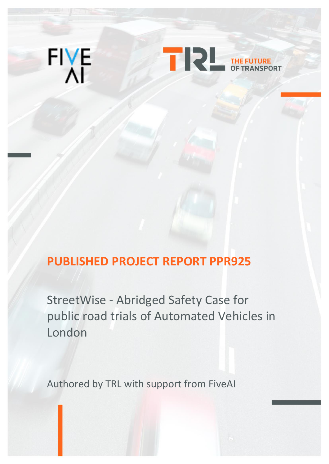



# **PUBLISHED PROJECT REPORT PPR925**

StreetWise - Abridged Safety Case for public road trials of Automated Vehicles in London

Authored by TRL with support from FiveAI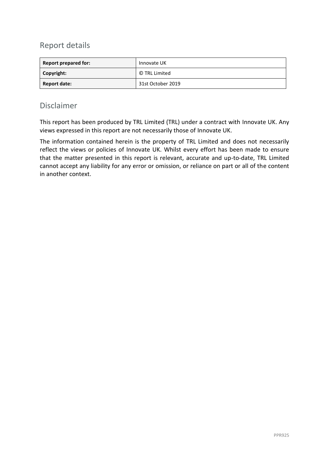#### Report details

| <b>Report prepared for:</b> | Innovate UK       |
|-----------------------------|-------------------|
| Copyright:                  | © TRL Limited     |
| Report date:                | 31st October 2019 |

#### Disclaimer

This report has been produced by TRL Limited (TRL) under a contract with Innovate UK. Any views expressed in this report are not necessarily those of Innovate UK.

The information contained herein is the property of TRL Limited and does not necessarily reflect the views or policies of Innovate UK. Whilst every effort has been made to ensure that the matter presented in this report is relevant, accurate and up-to-date, TRL Limited cannot accept any liability for any error or omission, or reliance on part or all of the content in another context.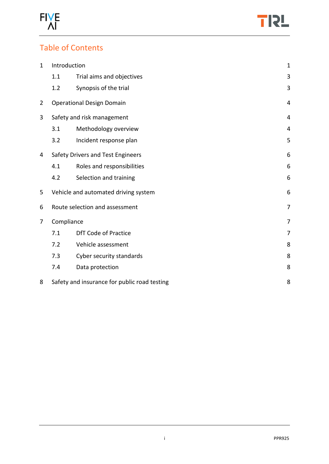



## Table of Contents

| $\mathbf 1$                     | Introduction                                 |                                   | $\mathbf{1}$   |
|---------------------------------|----------------------------------------------|-----------------------------------|----------------|
|                                 | 1.1                                          | Trial aims and objectives         | 3              |
|                                 | 1.2                                          | Synopsis of the trial             | 3              |
| $\overline{2}$                  | <b>Operational Design Domain</b>             |                                   |                |
| 3<br>Safety and risk management |                                              |                                   | 4              |
|                                 | 3.1                                          | Methodology overview              | 4              |
|                                 | 3.2                                          | Incident response plan            | 5              |
| 4                               |                                              | Safety Drivers and Test Engineers | 6              |
|                                 | 4.1                                          | Roles and responsibilities        | 6              |
|                                 | 4.2                                          | Selection and training            | 6              |
| 5                               | Vehicle and automated driving system         |                                   | 6              |
| 6                               | Route selection and assessment               |                                   | $\overline{7}$ |
| 7                               | Compliance                                   |                                   | 7              |
|                                 | 7.1                                          | <b>DfT Code of Practice</b>       | 7              |
|                                 | 7.2                                          | Vehicle assessment                | 8              |
|                                 | 7.3                                          | Cyber security standards          | 8              |
|                                 | 7.4                                          | Data protection                   | 8              |
| 8                               | Safety and insurance for public road testing |                                   | 8              |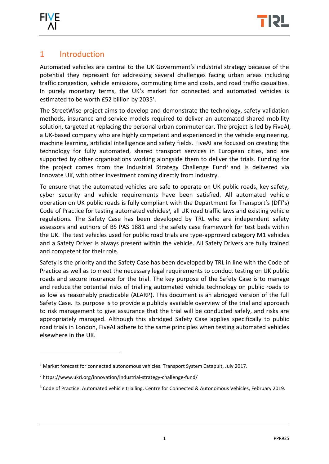

-



#### <span id="page-3-0"></span>1 Introduction

Automated vehicles are central to the UK Government's industrial strategy because of the potential they represent for addressing several challenges facing urban areas including traffic congestion, vehicle emissions, commuting time and costs, and road traffic casualties. In purely monetary terms, the UK's market for connected and automated vehicles is estimated to be worth £52 billion by 2035 1 .

The StreetWise project aims to develop and demonstrate the technology, safety validation methods, insurance and service models required to deliver an automated shared mobility solution, targeted at replacing the personal urban commuter car. The project is led by FiveAI, a UK-based company who are highly competent and experienced in the vehicle engineering, machine learning, artificial intelligence and safety fields. FiveAI are focused on creating the technology for fully automated, shared transport services in European cities, and are supported by other organisations working alongside them to deliver the trials. Funding for the project comes from the Industrial Strategy Challenge Fund<sup>2</sup> and is delivered via Innovate UK, with other investment coming directly from industry.

To ensure that the automated vehicles are safe to operate on UK public roads, key safety, cyber security and vehicle requirements have been satisfied. All automated vehicle operation on UK public roads is fully compliant with the Department for Transport's (DfT's) Code of Practice for testing automated vehicles<sup>3</sup>, all UK road traffic laws and existing vehicle regulations. The Safety Case has been developed by TRL who are independent safety assessors and authors of BS PAS 1881 and the safety case framework for test beds within the UK. The test vehicles used for public road trials are type-approved category M1 vehicles and a Safety Driver is always present within the vehicle. All Safety Drivers are fully trained and competent for their role.

Safety is the priority and the Safety Case has been developed by TRL in line with the Code of Practice as well as to meet the necessary legal requirements to conduct testing on UK public roads and secure insurance for the trial. The key purpose of the Safety Case is to manage and reduce the potential risks of trialling automated vehicle technology on public roads to as low as reasonably practicable (ALARP). This document is an abridged version of the full Safety Case. Its purpose is to provide a publicly available overview of the trial and approach to risk management to give assurance that the trial will be conducted safely, and risks are appropriately managed. Although this abridged Safety Case applies specifically to public road trials in London, FiveAI adhere to the same principles when testing automated vehicles elsewhere in the UK.

 $1$  Market forecast for connected autonomous vehicles. Transport System Catapult, July 2017.

<sup>2</sup> <https://www.ukri.org/innovation/industrial-strategy-challenge-fund/>

<sup>&</sup>lt;sup>3</sup> Code of Practice: Automated vehicle trialling. Centre for Connected & Autonomous Vehicles, February 2019.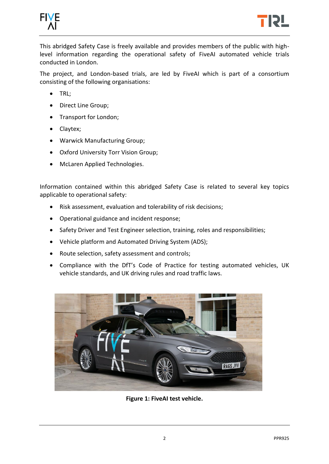



This abridged Safety Case is freely available and provides members of the public with highlevel information regarding the operational safety of FiveAI automated vehicle trials conducted in London.

The project, and London-based trials, are led by FiveAI which is part of a consortium consisting of the following organisations:

- TRL;
- Direct Line Group;
- Transport for London;
- Claytex;
- Warwick Manufacturing Group;
- Oxford University Torr Vision Group;
- McLaren Applied Technologies.

Information contained within this abridged Safety Case is related to several key topics applicable to operational safety:

- Risk assessment, evaluation and tolerability of risk decisions;
- Operational guidance and incident response;
- Safety Driver and Test Engineer selection, training, roles and responsibilities;
- Vehicle platform and Automated Driving System (ADS);
- Route selection, safety assessment and controls;
- Compliance with the DfT's Code of Practice for testing automated vehicles, UK vehicle standards, and UK driving rules and road traffic laws.

<span id="page-4-0"></span>

**Figure 1: FiveAI test vehicle.**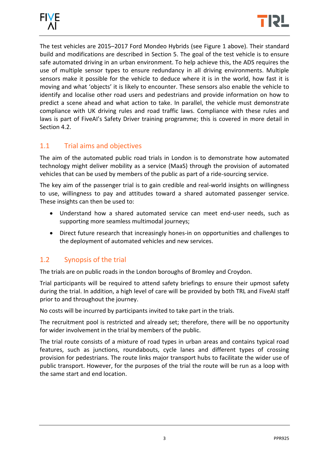

<span id="page-5-2"></span>The test vehicles are 2015–2017 Ford Mondeo Hybrids (see [Figure 1](#page-4-0) above). Their standard build and modifications are described in Section 5. The goal of the test vehicle is to ensure safe automated driving in an urban environment. To help achieve this, the ADS requires the use of multiple sensor types to ensure redundancy in all driving environments. Multiple sensors make it possible for the vehicle to deduce where it is in the world, how fast it is moving and what 'objects' it is likely to encounter. These sensors also enable the vehicle to identify and localise other road users and pedestrians and provide information on how to predict a scene ahead and what action to take. In parallel, the vehicle must demonstrate compliance with UK driving rules and road traffic laws. Compliance with these rules and laws is part of FiveAI's Safety Driver training programme; this is covered in more detail in Section 4.2.

#### <span id="page-5-0"></span>1.1 Trial aims and objectives

The aim of the automated public road trials in London is to demonstrate how automated technology might deliver mobility as a service (MaaS) through the provision of automated vehicles that can be used by members of the public as part of a ride-sourcing service.

The key aim of the passenger trial is to gain credible and real-world insights on willingness to use, willingness to pay and attitudes toward a shared automated passenger service. These insights can then be used to:

- Understand how a shared automated service can meet end-user needs, such as supporting more seamless multimodal journeys;
- Direct future research that increasingly hones-in on opportunities and challenges to the deployment of automated vehicles and new services.

#### <span id="page-5-1"></span>1.2 Synopsis of the trial

The trials are on public roads in the London boroughs of Bromley and Croydon.

Trial participants will be required to attend safety briefings to ensure their upmost safety during the trial. In addition, a high level of care will be provided by both TRL and FiveAI staff prior to and throughout the journey.

No costs will be incurred by participants invited to take part in the trials.

The recruitment pool is restricted and already set; therefore, there will be no opportunity for wider involvement in the trial by members of the public.

The trial route consists of a mixture of road types in urban areas and contains typical road features, such as junctions, roundabouts, cycle lanes and different types of crossing provision for pedestrians. The route links major transport hubs to facilitate the wider use of public transport. However, for the purposes of the trial the route will be run as a loop with the same start and end location.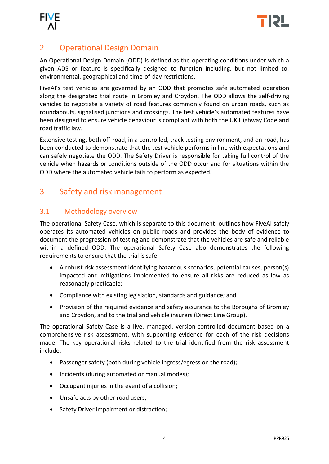



## 2 Operational Design Domain

An Operational Design Domain (ODD) is defined as the operating conditions under which a given ADS or feature is specifically designed to function including, but not limited to, environmental, geographical and time-of-day restrictions.

FiveAI's test vehicles are governed by an ODD that promotes safe automated operation along the designated trial route in Bromley and Croydon. The ODD allows the self-driving vehicles to negotiate a variety of road features commonly found on urban roads, such as roundabouts, signalised junctions and crossings. The test vehicle's automated features have been designed to ensure vehicle behaviour is compliant with both the UK Highway Code and road traffic law.

Extensive testing, both off-road, in a controlled, track testing environment, and on-road, has been conducted to demonstrate that the test vehicle performs in line with expectations and can safely negotiate the ODD. The Safety Driver is responsible for taking full control of the vehicle when hazards or conditions outside of the ODD occur and for situations within the ODD where the automated vehicle fails to perform as expected.

## <span id="page-6-0"></span>3 Safety and risk management

#### <span id="page-6-1"></span>3.1 Methodology overview

The operational Safety Case, which is separate to this document, outlines how FiveAI safely operates its automated vehicles on public roads and provides the body of evidence to document the progression of testing and demonstrate that the vehicles are safe and reliable within a defined ODD. The operational Safety Case also demonstrates the following requirements to ensure that the trial is safe:

- A robust risk assessment identifying hazardous scenarios, potential causes, person(s) impacted and mitigations implemented to ensure all risks are reduced as low as reasonably practicable;
- Compliance with existing legislation, standards and guidance; and
- Provision of the required evidence and safety assurance to the Boroughs of Bromley and Croydon, and to the trial and vehicle insurers (Direct Line Group).

The operational Safety Case is a live, managed, version-controlled document based on a comprehensive risk assessment, with supporting evidence for each of the risk decisions made. The key operational risks related to the trial identified from the risk assessment include:

- Passenger safety (both during vehicle ingress/egress on the road);
- Incidents (during automated or manual modes);
- Occupant injuries in the event of a collision;
- Unsafe acts by other road users;
- Safety Driver impairment or distraction;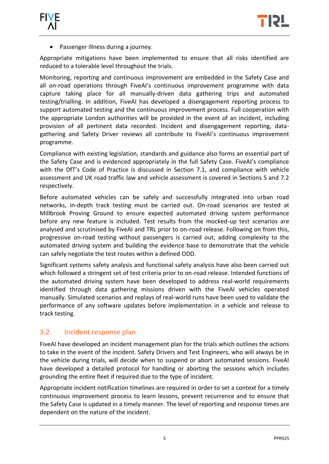

<span id="page-7-1"></span>• Passenger illness during a journey.

Appropriate mitigations have been implemented to ensure that all risks identified are reduced to a tolerable level throughout the trials.

Monitoring, reporting and continuous improvement are embedded in the Safety Case and all on-road operations through FiveAI's continuous improvement programme with data capture taking place for all manually-driven data gathering trips and automated testing/trialling. In addition, FiveAI has developed a disengagement reporting process to support automated testing and the continuous improvement process. Full cooperation with the appropriate London authorities will be provided in the event of an incident, including provision of all pertinent data recorded. Incident and disengagement reporting, datagathering and Safety Driver reviews all contribute to FiveAI's continuous improvement programme.

Compliance with existing legislation, standards and guidance also forms an essential part of the Safety Case and is evidenced appropriately in the full Safety Case. FiveAI's compliance with the DfT's Code of Practice is discussed in Section 7.1, and compliance with vehicle assessment and UK road traffic law and vehicle assessment is covered in Sections 5 and 7.2 respectively.

Before automated vehicles can be safely and successfully integrated into urban road networks, in-depth track testing must be carried out. On-road scenarios are tested at Millbrook Proving Ground to ensure expected automated driving system performance before any new feature is included. Test results from the mocked-up test scenarios are analysed and scrutinised by FiveAI and TRL prior to on-road release. Following on from this, progressive on-road testing without passengers is carried out, adding complexity to the automated driving system and building the evidence base to demonstrate that the vehicle can safely negotiate the test routes within a defined ODD.

Significant systems safety analysis and functional safety analysis have also been carried out which followed a stringent set of test criteria prior to on-road release. Intended functions of the automated driving system have been developed to address real-world requirements identified through data gathering missions driven with the FiveAI vehicles operated manually. Simulated scenarios and replays of real-world runs have been used to validate the performance of any software updates before implementation in a vehicle and release to track testing.

#### <span id="page-7-0"></span>3.2 Incident response plan

FiveAI have developed an incident management plan for the trials which outlines the actions to take in the event of the incident. Safety Drivers and Test Engineers, who will always be in the vehicle during trials, will decide when to suspend or abort automated sessions. FiveAI have developed a detailed protocol for handling or aborting the sessions which includes grounding the entire fleet if required due to the type of incident.

Appropriate incident notification timelines are required in order to set a context for a timely continuous improvement process to learn lessons, prevent recurrence and to ensure that the Safety Case is updated in a timely manner. The level of reporting and response times are dependent on the nature of the incident.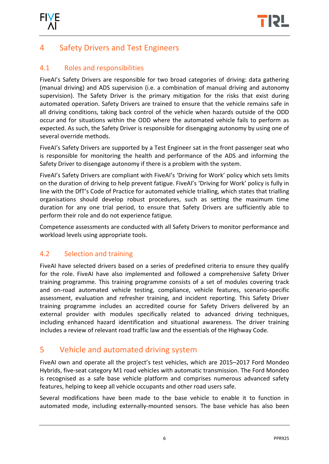

## 4 Safety Drivers and Test Engineers

#### <span id="page-8-0"></span>4.1 Roles and responsibilities

FiveAI's Safety Drivers are responsible for two broad categories of driving: data gathering (manual driving) and ADS supervision (i.e. a combination of manual driving and autonomy supervision). The Safety Driver is the primary mitigation for the risks that exist during automated operation. Safety Drivers are trained to ensure that the vehicle remains safe in all driving conditions, taking back control of the vehicle when hazards outside of the ODD occur and for situations within the ODD where the automated vehicle fails to perform as expected. As such, the Safety Driver is responsible for disengaging autonomy by using one of several override methods.

FiveAI's Safety Drivers are supported by a Test Engineer sat in the front passenger seat who is responsible for monitoring the health and performance of the ADS and informing the Safety Driver to disengage autonomy if there is a problem with the system.

FiveAI's Safety Drivers are compliant with FiveAI's 'Driving for Work' policy which sets limits on the duration of driving to help prevent fatigue. FiveAI's 'Driving for Work' policy is fully in line with the DfT's Code of Practice for automated vehicle trialling, which states that trialling organisations should develop robust procedures, such as setting the maximum time duration for any one trial period, to ensure that Safety Drivers are sufficiently able to perform their role and do not experience fatigue.

Competence assessments are conducted with all Safety Drivers to monitor performance and workload levels using appropriate tools.

#### <span id="page-8-1"></span>4.2 Selection and training

FiveAI have selected drivers based on a series of predefined criteria to ensure they qualify for the role. FiveAI have also implemented and followed a comprehensive Safety Driver training programme. This training programme consists of a set of modules covering track and on-road automated vehicle testing, compliance, vehicle features, scenario-specific assessment, evaluation and refresher training, and incident reporting. This Safety Driver training programme includes an accredited course for Safety Drivers delivered by an external provider with modules specifically related to advanced driving techniques, including enhanced hazard identification and situational awareness. The driver training includes a review of relevant road traffic law and the essentials of the Highway Code.

## <span id="page-8-2"></span>5 Vehicle and automated driving system

FiveAI own and operate all the project's test vehicles, which are 2015–2017 Ford Mondeo Hybrids, five-seat category M1 road vehicles with automatic transmission. The Ford Mondeo is recognised as a safe base vehicle platform and comprises numerous advanced safety features, helping to keep all vehicle occupants and other road users safe.

Several modifications have been made to the base vehicle to enable it to function in automated mode, including externally-mounted sensors. The base vehicle has also been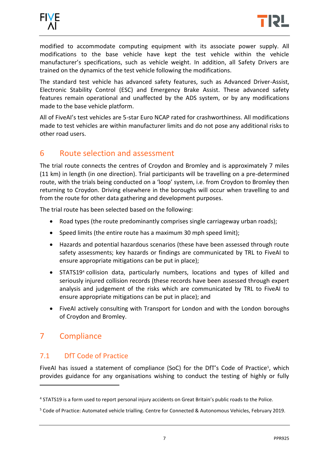



modified to accommodate computing equipment with its associate power supply. All modifications to the base vehicle have kept the test vehicle within the vehicle manufacturer's specifications, such as vehicle weight. In addition, all Safety Drivers are trained on the dynamics of the test vehicle following the modifications.

The standard test vehicle has advanced safety features, such as Advanced Driver-Assist, Electronic Stability Control (ESC) and Emergency Brake Assist. These advanced safety features remain operational and unaffected by the ADS system, or by any modifications made to the base vehicle platform.

All of FiveAI's test vehicles are 5-star Euro NCAP rated for crashworthiness. All modifications made to test vehicles are within manufacturer limits and do not pose any additional risks to other road users.

#### <span id="page-9-0"></span>6 Route selection and assessment

The trial route connects the centres of Croydon and Bromley and is approximately 7 miles (11 km) in length (in one direction). Trial participants will be travelling on a pre-determined route, with the trials being conducted on a 'loop' system, i.e. from Croydon to Bromley then returning to Croydon. Driving elsewhere in the boroughs will occur when travelling to and from the route for other data gathering and development purposes.

The trial route has been selected based on the following:

- Road types (the route predominantly comprises single carriageway urban roads);
- Speed limits (the entire route has a maximum 30 mph speed limit);
- Hazards and potential hazardous scenarios (these have been assessed through route safety assessments; key hazards or findings are communicated by TRL to FiveAI to ensure appropriate mitigations can be put in place);
- STATS19<sup>4</sup> collision data, particularly numbers, locations and types of killed and seriously injured collision records (these records have been assessed through expert analysis and judgement of the risks which are communicated by TRL to FiveAI to ensure appropriate mitigations can be put in place); and
- FiveAI actively consulting with Transport for London and with the London boroughs of Croydon and Bromley.

## <span id="page-9-1"></span>7 Compliance

-

#### <span id="page-9-2"></span>7.1 DfT Code of Practice

FiveAI has issued a statement of compliance (SoC) for the DfT's Code of Practice<sup>5</sup>, which provides guidance for any organisations wishing to conduct the testing of highly or fully

<sup>&</sup>lt;sup>4</sup> STATS19 is a form used to report personal injury accidents on Great Britain's public roads to the Police.

<sup>5</sup> Code of Practice: Automated vehicle trialling. Centre for Connected & Autonomous Vehicles, February 2019.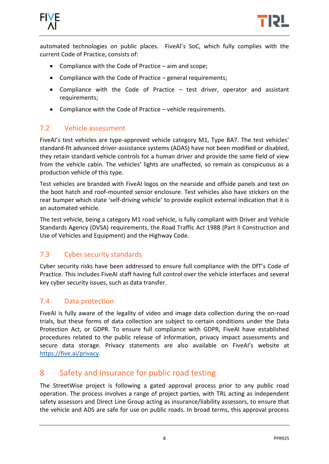



automated technologies on public places. FiveAI's SoC, which fully complies with the current Code of Practice, consists of:

- Compliance with the Code of Practice aim and scope;
- Compliance with the Code of Practice general requirements;
- Compliance with the Code of Practice test driver, operator and assistant requirements;
- Compliance with the Code of Practice vehicle requirements.

#### <span id="page-10-0"></span>7.2 Vehicle assessment

FiveAI's test vehicles are type-approved vehicle category M1, Type BA7. The test vehicles' standard-fit advanced driver-assistance systems (ADAS) have not been modified or disabled, they retain standard vehicle controls for a human driver and provide the same field of view from the vehicle cabin. The vehicles' lights are unaffected, so remain as conspicuous as a production vehicle of this type.

Test vehicles are branded with FiveAI logos on the nearside and offside panels and text on the boot hatch and roof-mounted sensor enclosure. Test vehicles also have stickers on the rear bumper which state 'self-driving vehicle' to provide explicit external indication that it is an automated vehicle.

The test vehicle, being a category M1 road vehicle, is fully compliant with Driver and Vehicle Standards Agency (DVSA) requirements, the Road Traffic Act 1988 (Part II Construction and Use of Vehicles and Equipment) and the Highway Code.

#### <span id="page-10-1"></span>7.3 Cyber security standards

Cyber security risks have been addressed to ensure full compliance with the DfT's Code of Practice. This includes FiveAI staff having full control over the vehicle interfaces and several key cyber security issues, such as data transfer.

#### <span id="page-10-2"></span>7.4 Data protection

FiveAI is fully aware of the legality of video and image data collection during the on-road trials, but these forms of data collection are subject to certain conditions under the Data Protection Act, or GDPR. To ensure full compliance with GDPR, FiveAI have established procedures related to the public release of information, privacy impact assessments and secure data storage. Privacy statements are also available on FiveAI's website at https://five.ai/privacy.

#### <span id="page-10-3"></span>8 Safety and insurance for public road testing

The StreetWise project is following a gated approval process prior to any public road operation. The process involves a range of project parties, with TRL acting as independent safety assessors and Direct Line Group acting as insurance/liability assessors, to ensure that the vehicle and ADS are safe for use on public roads. In broad terms, this approval process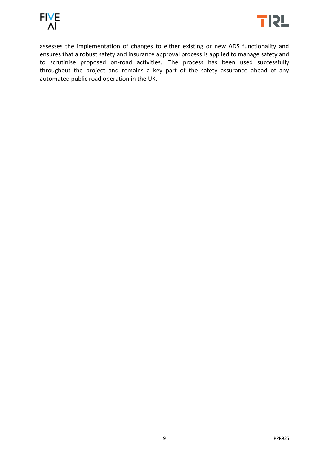



assesses the implementation of changes to either existing or new ADS functionality and ensures that a robust safety and insurance approval process is applied to manage safety and to scrutinise proposed on-road activities. The process has been used successfully throughout the project and remains a key part of the safety assurance ahead of any automated public road operation in the UK.